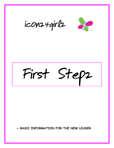



# First Stepz

**BASIC INFORMATION FOR THE NEW LEADER**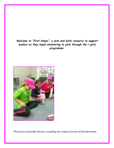**Welcome to "First Stepz", a nuts and bolts resource to support leaders as they begin ministering to girls through the i-girlz programme.**



*Thank you to Jennifer Box for compiling the original version of this document.*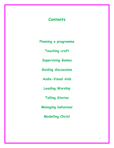# **Contents**

**Planning a programme**

**Teaching craft**

**Supervising Games**

**Guiding discussions**

**Audio-Visual Aids**

**Leading Worship**

**Telling Stories**

**Managing behaviour** 

**Modelling Christ**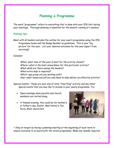# **Planning a Programme**

The word "programme" refers to everything that is done with your IFG Unit during your meetings. Thorough planning is essential for the smooth running of a session.

#### **Planning tips:**

Meet with all leaders and plan the outline for your year's programme using the IFG Programme books and the Badge Booklet as guidelines. This is your 'big picture' for the year. List your desired outcomes for the year (apart from surviving!)

Consider:

When- what time of the year is best for the activity chosen? Where—what is the best venue/place for this particular activity? What-skills are there among the leaders? What-extra help is required? Which- age group are you working with? How—what resources will you use/need to help deliver an effective activity?

Special events— these are your end of term "final fling" activity and any other special events that you may like to include in your yearly programme. Try

- Open evenings when parents and church members are invited along
- A themed evening, this could be for mother's or father's day, Easter, Mad Hatter's Tea Party, Book characters



 $\checkmark$  Stay on target by having a planning meeting at the beginning of each term to ensure everyone is on board with the term's programme. Make any tweaks required.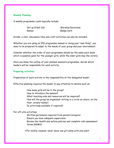# **Weekly Planning:**

A weekly programme could typically include:

Games Badge work

Set up & Roll Call Worship/Devotions

Drinks, a chat, discussion time and craft activities can also be included.

Whether you are using an IFG programme manual or doing your "own thing", you need to be prepared to adapt to the needs of your group and your environment.

Consider whether the order of your programme should be the same each week which is possibly good for the younger girls, while the older girls may like variety.

Once you know the outline of your planned session's programme, decide which leaders will be responsible for each activity.

## **Preparing activities:**

Preparation of each activity is the responsibility of the delegated leader.

Effective planning requires the leader to pay attention to details such as:

How many girls will be in the group? How to introduce the session? What teaching aids and resources will be required? How will the group be organised—sitting in a circle on chairs, on the floor, around tables? Is extra help available if required?

For off-site activities:

Written permission required from parent/caregiver Ensure you have adequate supervision Review the Health and safety policies and complete risk assessment forms (RAMS)

 $\checkmark$  For safety reasons, never leave one girl alone with one adult.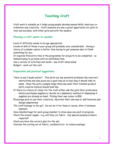# **Teaching Craft**

Craft work is valuable as it helps young people develop manual skills, hand eye coordination and creativity. Craft sessions are also a great opportunity for girls to chat and socialise, with other girls and with the leaders.

#### **Choosing a craft—points to consider:**

Level of difficulty needs to be age appropriate

Levels of skill of those in your group will probably vary considerable. Having a choice of a simpler option is better than having to get someone else to finish something for you.

If required find extra time in the programme for projects to be completed - so disheartening to go home with an unfinished item.

Use a variety of activities and media – see Craft ideas below Budget— work out the cost

#### **Preparation and practical suggestions:**

- "Here is one I made earlier". This sorts out any potential problems like incorrect instructions and also gives you a good idea as to how long it should take to make. Show the girls a sample helps them see what their finished product (with creative licence) should look like.
- If there is a choice of colour for the craft either ask the girls their preference before purchases supplies or decide on a diplomatic method of dispensing if supplies are already on hand. Picking their own colour is BIG.
- Encourage girls to use their creativity -decorate their own way or add features and design adaptations.
- The craft belongs to the girl. Do not do it for them or worse, alter it between sessions.
- Have labelled bags for each group member to stow away any work in progress.
- Check the scissor supply e.g. will they cut fabric. Any special purpose scissors required?

Check you have the correct glue for the job.

Oversee the cutting out of fabric, cardboard etc. to reduce wastage.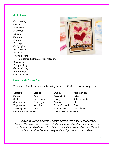#### **Craft ideas:**

Card making Origami Bead work Macramé Collage Patchwork Sewing Knitting Calligraphy Art canvases **Mosaics** Themed craft— Christmas/Easter/Mother's Day etc Decoupage Scrapbooking Clay modelling Bread dough Cake decorating



# **Resource kit for crafts:**

It is a good idea to include the following in your craft kit—restock as required:

| Scissors               | Stapler        | Staples               | Felt Markers |
|------------------------|----------------|-----------------------|--------------|
| Pencils                | Pens           | Paper clips           | Ruler        |
| <b>Rubbers</b>         | Hole punch     | String                | Rubber bands |
| Glue sticks            | Fabric glue    | PVA glue              | Glitter      |
| Tape measure           | <b>Needles</b> | Cotton/thread         | Pins         |
| Drawing pins           | Paint          | Paint brushes         | Craft knife  |
| Paper white & coloured |                | Card-white & coloured |              |

 $\checkmark$  An idea: If you have a supply of craft material left overs have an activity towards the end of the year where all the material is placed out and the girls can use it all up to make whatever they like. Fun for the girls and cleans out the IFG cupboard so stuff like paint and glue doesn't 'go off' over the holidays.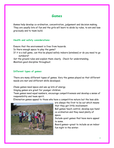# **Games**

Games help develop co-ordination, concentration, judgement and decision making. They are usually lots of fun and the girls will learn to abide by rules, to win and lose graciously and to team build.

## **Health and safety considerations:**

Ensure that the environment is free from hazards. Is there enough space to play the game? If it is a ball game, can this be played safely indoors (windows) or do you need to go outdoors? Set the ground rules and explain them clearly. Check for understanding. Maintain good discipline throughout.

# **Different types of games:**

There are many different types of games. Vary the games played so that different needs are met and different skills developed.

Chase games need space and use up lots of energy.

Singing games are great for younger children.

Team games need equal numbers, encourage competitiveness and develop a sense of responsibility and team spirit.

Elimination games appeal to those who have a competitive nature but the less able



are always the first to be out which means that they get little involvement.

Ball games teach control, develop eye-hand co-ordination and they need plenty of space.

Include quiet games that have more appeal to some.

Board games—great to include as an indoor fun night in the winter.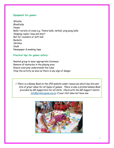# **Equipment for games:**

Whistle Blindfolds Hoops Balls—variety of sizes e.g. Tennis balls, netball, ping pong balls Skipping ropes—long and short Bat for rounders or soft ball **Rackets Skittles** Chalk Newspaper & masking tape

# **Practical tips for games safety:**

Remind group to wear appropriate footwear. Remove all obstacles in the playing area Ensure everyone understands the rules Stop the activity as soon as there is any sign of danger

 $\checkmark$  There is a Games Book on the IFG website under resources which has lots and lots of great ideas for all types of games. There is also a printed Games Book provided by GB Supporters for all Units. Check with the GB Support Centre [info@girlsbrigade.org.nz](mailto:info@girlsbrigade.org.nz) if your Unit does not have one.

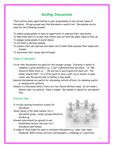# **Guiding Discussions**

There will be many opportunities in your programmes to use various types of discussion. All age groups may find discussion a useful tool. Discussions can be used for the following reasons:

To enable young people to have an opportunity to express their view points. To help them learn to accept that others may not hold the same views as they do. To engage young people in social issues.

To aid them in decision making.

To explore their perceptions and ideas; and to help them express their hopes and dreams.

To determine their values and attitudes.

# **Styles of discussion:**

- Circle time discussions are good for the younger groups. Everyone is asked to complete a given sentence e.g. "I get frightened/feel sad when..." or "My favourite Bible story is...." No one has to participate but most will. The leader should start. It is often good to have a soft toy or similar to pass round, only the person who is holding it may speak.
- General discussions are useful for discussing current affairs, for planning events or dealing with conflicts.
- Debate is a discussion where there are two clearly defined views. Do not make a debate topic too general. Keep it simple. Get people to speak for and against this.

# **Practical Tips:**

- A circular seating formation is best for discussion.
- About seven is the ideal number for a discussion group. Larger groups should be divided up.
- Ground rules should be agreed to and established before the start of a discussion (see below).



A range of tools might be used to stimulate discussion e.g. video clips, news headlines, Bible verses, pictures, photographs, a challenge or a quotation.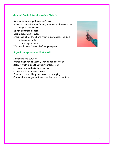## **Code of Conduct for discussions (Rules):**

Be open to hearing all points of view Value the contribution of every member in the group and respect their views. Do not dominate debate Keep discussions focused Encourage others to share their experiences, feelings, opinions and values Do not interrupt others Wait until there is quiet before you speak

# **A good chairperson/facilitator will:**

Introduce the subject Frame a number of useful, open-ended questions Refrain from expressing their personal view Ensure everyone has a fair hearing Endeavour to involve everyone Summarise what the group seem to be saying Ensure that everyone adheres to the code of conduct.

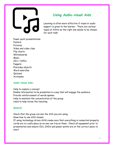# **Using Audio-visual Aids**

Learning is often more effective if visual or audio support is given to the learner. There are various types of AVA's so the right one needs to be chosen for each task:

Power point presentations Posters Pictures Video and video clips Flip charts Whiteboards **Music** CD's / DVD's Puppets Everyday objects Word searches Quizzes Acronyms

# **Audio-Visual Aids:**

Help to explain a concept Enable information to be presented in a way that will engage the audience. Provide reinforcement of words spoken Help to maintain the concentration of the group Used to help revise the teaching

# **General:**

Check that the group can see the AVA you are using. Know how to use AVA chosen If using technology driven AVA's make sure that everything is connected properly, cords are in a safe place so no one can trip on them. Check all equipment prior to presentation and ensure CD's, DVD's and power points are at the correct place to start.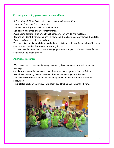## **Preparing and using power point presentations:**

A font size of 28 to 34 in bold is recommended for subtitles. The ideal font size for titles is 44. Use contrast; light on dark, or dark on light. Use graphics rather than too many words. Avoid using complex animations that detract or override the message. Beware of "death by Powerpoint" - a few good slides are more effective than lots. Avoid reading slides to the audience. Too much text makes a slide unreadable and distracts the audience, who will try to read the text while the presentation is going on. To temporarily clear the screen during a presentation press W or B. Press Enter

#### **Additional resources:**

to resume the presentation.

Word searches, cross words, anagrams and quizzes can also be used to support learning.

People are a valuable resource. Use the expertise of people like the Police, Ambulance Service, flower arranger, beautician, cook, first aider etc. Use Google/Pinterest as useful sources of ideas, information, activities and resources.

Find useful books at your local Christian bookshop or your church library.

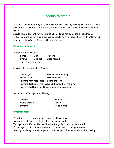# **Leading Worship**

Worship is an opportunity to give honour to God. During worship sessions we should praise God, teach Christian truths, talk to God and learn about how faith and life meet.

People have different ways of worshipping, so do not be bound by one model. Effective worship will encourage young people to think about how worship/Christian principles should affect their attitudes to life.

#### **Elements of Worship:**

Worship might include:

| Songs               | Music   | Prayers        |
|---------------------|---------|----------------|
| Drama               | Quizzes | Bible teaching |
| Time for reflection |         |                |

Prayer—there are various forms:

| Set prayers                           | Prayers lead by people                               |
|---------------------------------------|------------------------------------------------------|
| Prayer chains                         | Prayer boards                                        |
| Prayers with responses Silent prayers |                                                      |
|                                       | Prayers spoken by the leader and echoed by the girls |
|                                       | Prayers written by girls and placed in prayer box    |

Music may be incorporated through:

| Singing      | Use of CD's         |
|--------------|---------------------|
| Music groups | A band              |
| Dancing      | <b>Action Songs</b> |

# **Practical Tips:**

Vary the styles of worship and order of doing things Maintain a balance, not all girls like to sing or read Incorporate activities that will involve the girls in interactive worship Encourage the girls to contribute eg put together a thank you prayer Allow girls plenty of time to prepare for any part they may have in the worship.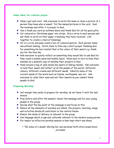## **Some ideas for creative prayer:**

- Show a get well card. Ask everyone to write the name or draw a picture of a person they know who is unwell. Put the names/pictures in the card. Seal the envelope and offer it in prayer to God.
- Use a thank you card as outlined above and thank God for all His good gifts.
- Cut coloured or Christmas paper into strips. Give a strip to each person and ask them to write on their paper a blessing they have received. Link together to create a chain of blessings.
- Sit in a circle and pass round a box of coloured pencils. Each person takes one without looking. Invite them to then say a short prayer thanking God for something He has created that is the colour of their pencil e.g. thank you for the blue sky.
- Ask everyone to quietly reflect on something they would like to ask God for. Pass round a bubble wand and bubble liquid. Allow each in turn to blow their bubbles as a symbolic way of sending their prayers to God.
- Hand around a bag of jelly beans (be aware of allergy needs). Ask everyone to hold their sweet and reflect on all the people of the world—different colours, different creeds and different needs. Identify some of the current needs of the world such as famine, earthquake, war etc. Ask everyone to close their eyes and eat their sweets as you commit these people to God.

# **Preparing Worship:**

- Set enough time aside to prepare for worship; do not leave it until the last minute.
- Pray before and after the session—about the message and for your young people in the group.
- ◆ Decide what the key point of the message is and focus on this.
- Ensure all the elements of worship are linked, the prayers, teaching, songs and activities should all contribute to the central theme.
- Ensure the mode of delivery is relevant to the group
- Use language which is age and culturally relevant to the modern young person
- **For impact an effective worship session is best kept short and sharp**

 $\checkmark$  The value of a leader sharing her own personal faith story/experience priceless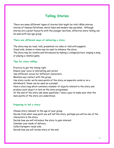# **Telling Stories**

There are many different types of stories that might be told—Bible stories, stories of famous Christians, moral tales and modern day parables. Although stories are a great favourite with the younger sections, effective story-telling can be used with any age group.

#### **There are different ways of delivering a story:**

The story may be read, told, presented via video or told with puppets. Visual aids, drama or mime may be used to enhance the story. The story may be reinforced/introduced by making a collage/picture, singing a song or playing a related game.

#### **Tips for story-telling:**

Practice to get the timing right Ensure your voice is interesting and varied Use different voices for different characters Maintain eye contact with the group Use story cards—write main points of the story on separate cards or on a whiteboard, these can be used as a prompt. Have a story bag which contains a number of objects related to the story and produce each object in turn as the story progresses. At the end of the story ask some questions / have a quiz to make sure that the main points of the story are understood.

#### **Preparing to tell a story:**

Choose story relevant to the age of your group. Decide from what view point you will tell the story, perhaps you will be one of the characters in the story. Decide how you will introduce the story to gain interest. Consider your mode of delivery. Collect/prepare visual aids. Decide how you will review story at the end.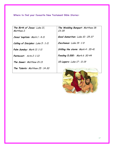**Where to find your favourite New Testament Bible Stories:**

**The Birth of Jesus:** Luke 21, Matthew 2.

**Jesus' baptism:** Mark 1 : 4-11

**Calling of Disciples:** Luke 5 : 1-11

**Palm Sunday:** Mark 11: 1-11

**Pentecost:** Acts 2: 1-13

**The Sower:** Matthew Ch 13

**The Talents:** Matthew 25 : 14-30

**The Wedding Banquet:** Matthew 18: 23-35

**Good Samaritan:** Luke 10 : 25-37

**Zacchaeus:** Luke 19 : 1-9

**Stilling the storm:** Mark 4 : 35-41

**Feeding 5,000:** Mark 6 :30-44

**10 Lepers:** Luke 17 : 11-19

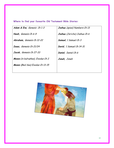**Where to find your favourite Old Testament Bible Stories:**

| Adam & Eve, Genesis Ch 1-3        | Joshua (spies) Numbers Ch 13  |
|-----------------------------------|-------------------------------|
| Noah, Genesis Ch 6-9              | Joshua (Jericho) Joshua Ch 6  |
| Abraham, Genesis Ch 12-22         | <b>Samuel</b> , 1 Samuel Ch 3 |
| Isaac, Genesis Ch 21/24           | David, 1 Samuel Ch 14-31      |
| Jacob, Genesis Ch 27-33           | Daniel, Daniel Ch 6           |
| Moses (in bulrushes), Exodus Ch 2 | <b>Jonah</b> , Jonah          |
| Moses (Red Sea) Exodus Ch 13-15   |                               |
|                                   |                               |

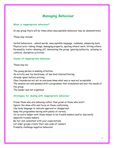# **Managing Behaviour**

#### **What is inappropriate behaviour?**

In any group there will be times when unacceptable behaviour may be demonstrated.

These may include:

Verbal behaviours - unkind words, unacceptable language, rudeness, answering back. Physical acts—taking things, damaging property, spoiling others' work, hitting others. Personality traits—showing off, dominating the group, ignoring authority, refusing to conform, disruptive activities.

# **Causes of inappropriate behaviour**

#### These may be:

The young person is seeking attention. An activity was too hard/easy, of low level interest/boring. Already upset before arriving Clear boundaries not set so everyone knew what was or was not acceptable The session not well planned with a programme that stimulated and met the needs of the group.

The leader was not organised.

#### **Strategies for dealing with inappropriate behaviour:**

Praise those who are behaving rather than growl at those who aren't. Ignore the show offs and focus on those conforming.

Use body language to indicate approval or disapproval.

Keep the programme moving with plenty of variety.

Sit an extra helper with those known to be trouble makers and/or discreetly separate trouble makers.

Be fair and consistent with your expectations.

Let older groups create their own code of conduct.

Promptly challenge negative behaviour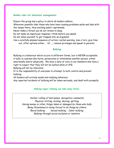#### **Golden rules for behaviour management:**

Ensure the group has a policy to which all leaders adhere.

Wherever possible take those who have been causing problems aside and deal with the issues there, thus avoiding public reprimands.

Never make a threat you do not intend to keep.

Do not make an impetuous response—think before you speak.

Do not allow yourself to get trapped into an argument.

Use a carefully planned sequence of action—verbal warning, lose a turn, give time out, offer options either ... Or ..., remove privileges and speak to parents.

## **Bullying**

Bullying is a behaviour which occurs in different forms, but is NEVER acceptable. A bully is a person who hurts, persecutes or intimidates another person, either emotionally and/or physically. We have a duty of care to our members who have a right to expect that they will not be bullied while at IFG.

Bullying will not be tolerated.

It is the responsibility of everyone to attempt to both control and prevent bullying.

All leaders will actively model non-bullying behaviour.

Any reported incidents of bullying will be taken seriously, and dealt with promptly.

#### **Bullying types—bullying can take many forms:**

Verbal—calling of bad names, derogatory comments. Physical—hitting, kicking, shoving, spitting. Having money or other things taken or damaged by those who bully. Being threatened or being forced to do things by others. Racial bullying. Sexual bullying. Cyber bullying. Bullying through social exclusion or isolation.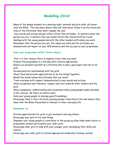# **Modelling Christ**

Many of the people present on a meeting night, parents and girls alike, will never read the Bible. The only place where they will read about Jesus is on the faces and lives of the Christians they meet—people like you!

Your words and actions should reflect Christ-like attitudes. It matters about the person you are; it matters that you model Christ-like characteristics in your dealings with the young people and with the other leaders with whom you work. Remember that the person you are, the values you hold and the attitudes you demonstrate will impact on your IFG ministry and the success of your programme.

## **Does your programme reflect these values?**

That it is fun—ensure there is laughter every time you meet.

Present the programme in a fun way with creative approaches.

Ensure you present yourself as a Christian who is also a good sport and fun to be with.

Develop positive relationships with the girls.

Share food and provide opportunities to do fun things together.

Model the sound values and attitudes that you teach.

Treat everyone with respect demonstrated in your words and actions.

Show acceptance and tolerance, respect and care towards other leaders and the girls.

Show compassion, understanding and acceptance when young people make mistakes in life choices. Be there no matter what.

Help your young people to develop good friendships.

Encourage them in their Christian journey/prayer time/church life and ensure they know that the Bible/Jesus/God is relevant to their everyday life.

#### **Remember to:**

Provide opportunities for girls to get involved in serving others.

Encourage your girls to try new things.

Empower your young people to contribute to the group eg allow them some choice in programme content particularly your older girls.

Encourage older girls to help with your younger girls, developing their skills and talents.

Encourage your older girls to attend appropriate leadership training courses.